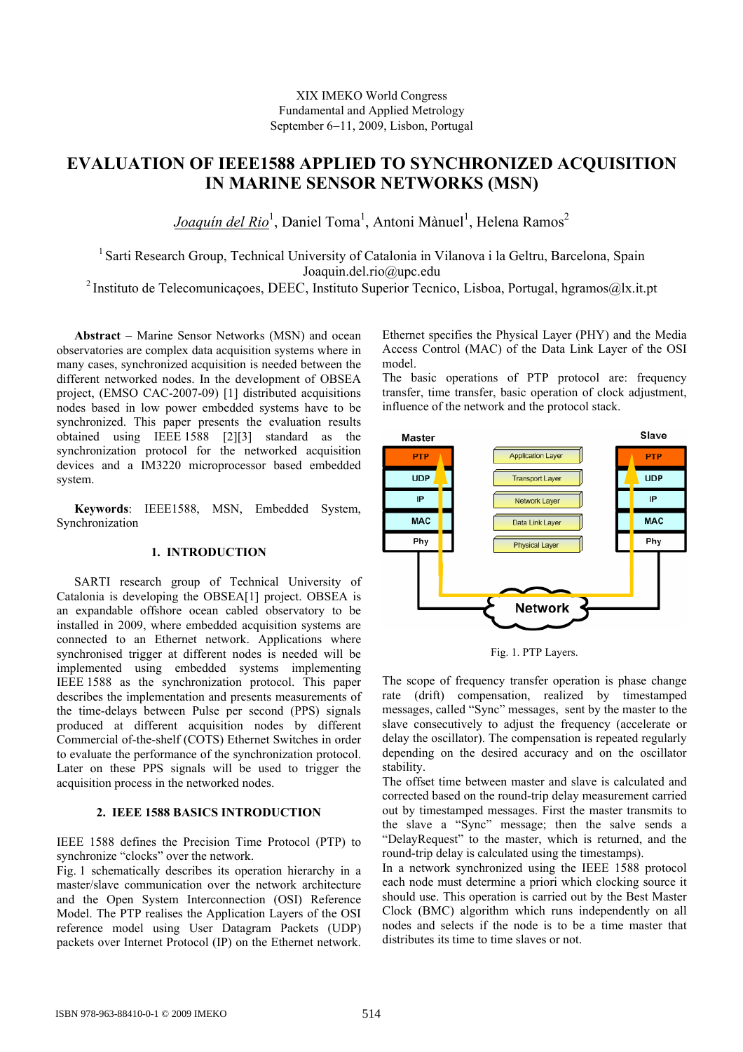# XIX IMEKO World Congress Fundamental and Applied Metrology September 6−11, 2009, Lisbon, Portugal

# **EVALUATION OF IEEE1588 APPLIED TO SYNCHRONIZED ACQUISITION IN MARINE SENSOR NETWORKS (MSN)**

Joaquín del Rio<sup>1</sup>, Daniel Toma<sup>1</sup>, Antoni Mànuel<sup>1</sup>, Helena Ramos<sup>2</sup>

<sup>1</sup> Sarti Research Group, Technical University of Catalonia in Vilanova i la Geltru, Barcelona, Spain Joaquin.del.rio@upc.edu

<sup>2</sup> Instituto de Telecomunicações, DEEC, Instituto Superior Tecnico, Lisboa, Portugal, hgramos@lx.it.pt

**Abstract** − Marine Sensor Networks (MSN) and ocean observatories are complex data acquisition systems where in many cases, synchronized acquisition is needed between the different networked nodes. In the development of OBSEA project, (EMSO CAC-2007-09) [1] distributed acquisitions nodes based in low power embedded systems have to be synchronized. This paper presents the evaluation results obtained using IEEE 1588 [2][3] standard as the synchronization protocol for the networked acquisition devices and a IM3220 microprocessor based embedded system.

**Keywords**: IEEE1588, MSN, Embedded System, Synchronization

# **1. INTRODUCTION**

SARTI research group of Technical University of Catalonia is developing the OBSEA[1] project. OBSEA is an expandable offshore ocean cabled observatory to be installed in 2009, where embedded acquisition systems are connected to an Ethernet network. Applications where synchronised trigger at different nodes is needed will be implemented using embedded systems implementing IEEE 1588 as the synchronization protocol. This paper describes the implementation and presents measurements of the time-delays between Pulse per second (PPS) signals produced at different acquisition nodes by different Commercial of-the-shelf (COTS) Ethernet Switches in order to evaluate the performance of the synchronization protocol. Later on these PPS signals will be used to trigger the acquisition process in the networked nodes.

# **2. IEEE 1588 BASICS INTRODUCTION**

IEEE 1588 defines the Precision Time Protocol (PTP) to synchronize "clocks" over the network.

Fig. 1 schematically describes its operation hierarchy in a master/slave communication over the network architecture and the Open System Interconnection (OSI) Reference Model. The PTP realises the Application Layers of the OSI reference model using User Datagram Packets (UDP) packets over Internet Protocol (IP) on the Ethernet network.

Ethernet specifies the Physical Layer (PHY) and the Media Access Control (MAC) of the Data Link Layer of the OSI model.

The basic operations of PTP protocol are: frequency transfer, time transfer, basic operation of clock adjustment, influence of the network and the protocol stack.



Fig. 1. PTP Layers.

The scope of frequency transfer operation is phase change rate (drift) compensation, realized by timestamped messages, called "Sync" messages, sent by the master to the slave consecutively to adjust the frequency (accelerate or delay the oscillator). The compensation is repeated regularly depending on the desired accuracy and on the oscillator stability.

The offset time between master and slave is calculated and corrected based on the round-trip delay measurement carried out by timestamped messages. First the master transmits to the slave a "Sync" message; then the salve sends a "DelayRequest" to the master, which is returned, and the round-trip delay is calculated using the timestamps).

In a network synchronized using the IEEE 1588 protocol each node must determine a priori which clocking source it should use. This operation is carried out by the Best Master Clock (BMC) algorithm which runs independently on all nodes and selects if the node is to be a time master that distributes its time to time slaves or not.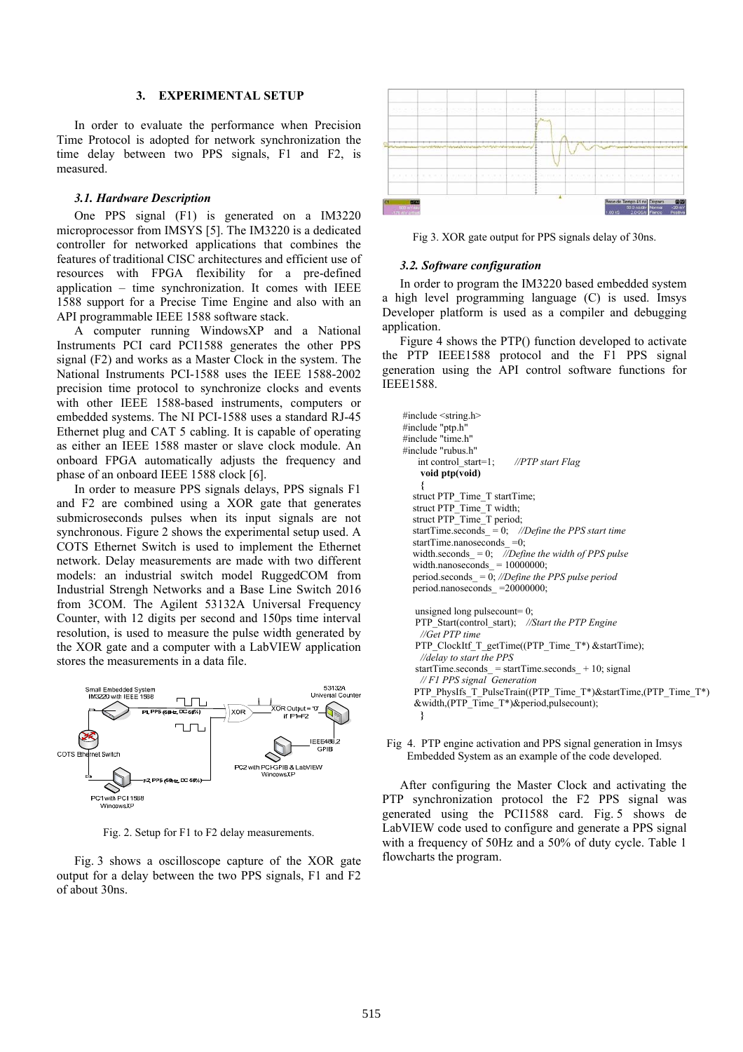### **3. EXPERIMENTAL SETUP**

In order to evaluate the performance when Precision Time Protocol is adopted for network synchronization the time delay between two PPS signals, F1 and F2, is measured.

## *3.1. Hardware Description*

One PPS signal (F1) is generated on a IM3220 microprocessor from IMSYS [5]. The IM3220 is a dedicated controller for networked applications that combines the features of traditional CISC architectures and efficient use of resources with FPGA flexibility for a pre-defined application – time synchronization. It comes with IEEE 1588 support for a Precise Time Engine and also with an API programmable IEEE 1588 software stack.

A computer running WindowsXP and a National Instruments PCI card PCI1588 generates the other PPS signal (F2) and works as a Master Clock in the system. The National Instruments PCI-1588 uses the IEEE 1588-2002 precision time protocol to synchronize clocks and events with other IEEE 1588-based instruments, computers or embedded systems. The NI PCI-1588 uses a standard RJ-45 Ethernet plug and CAT 5 cabling. It is capable of operating as either an IEEE 1588 master or slave clock module. An onboard FPGA automatically adjusts the frequency and phase of an onboard IEEE 1588 clock [6].

In order to measure PPS signals delays, PPS signals F1 and F2 are combined using a XOR gate that generates submicroseconds pulses when its input signals are not synchronous. Figure 2 shows the experimental setup used. A COTS Ethernet Switch is used to implement the Ethernet network. Delay measurements are made with two different models: an industrial switch model RuggedCOM from Industrial Strengh Networks and a Base Line Switch 2016 from 3COM. The Agilent 53132A Universal Frequency Counter, with 12 digits per second and 150ps time interval resolution, is used to measure the pulse width generated by the XOR gate and a computer with a LabVIEW application stores the measurements in a data file.



Fig. 2. Setup for F1 to F2 delay measurements.

Fig. 3 shows a oscilloscope capture of the XOR gate output for a delay between the two PPS signals, F1 and F2 of about 30ns.



Fig 3. XOR gate output for PPS signals delay of 30ns.

## *3.2. Software configuration*

In order to program the IM3220 based embedded system a high level programming language (C) is used. Imsys Developer platform is used as a compiler and debugging application.

Figure 4 shows the PTP() function developed to activate the PTP IEEE1588 protocol and the F1 PPS signal generation using the API control software functions for IEEE1588.

```
#include <string.h> 
#include "ptp.h" 
#include "time.h" 
#include "rubus.h" 
    int control_start=1; //PTP start Flag
     void ptp(void) 
    { 
   struct PTP_Time_T startTime; 
  struct PTP_Time_T width;
  struct PTP_Time_T period;
   startTime.seconds_ = 0; //Define the PPS start time 
  startTime.nanoseconds_ =0;
   width.seconds_ = 0; //Define the width of PPS pulse 
  width.nanoseconds= 10000000;
  period.seconds\overline{\phantom{a}} = \overline{0}; //Define the PPS pulse period
   period.nanoseconds_ =20000000; 
    unsigned long pulsecount= 0; 
   PTP_Start(control_start); //Start the PTP Engine
    //Get PTP time 
   PTP_ClockItf_T_getTime((PTP_Time_T*) &startTime);
   //delay to start the PPS 
   startTime.seconds = startTime.seconds +10; signal
    // F1 PPS signal Generation 
  PTP_PhysIfs_T_PulseTrain((PTP_Time_T*)&startTime,(PTP_Time_T*)
  &width,(PTP_Time_T*)&period,pulsecount); 
   }
```
Fig 4. PTP engine activation and PPS signal generation in Imsys Embedded System as an example of the code developed.

After configuring the Master Clock and activating the PTP synchronization protocol the F2 PPS signal was generated using the PCI1588 card. Fig. 5 shows de LabVIEW code used to configure and generate a PPS signal with a frequency of 50Hz and a 50% of duty cycle. Table 1 flowcharts the program.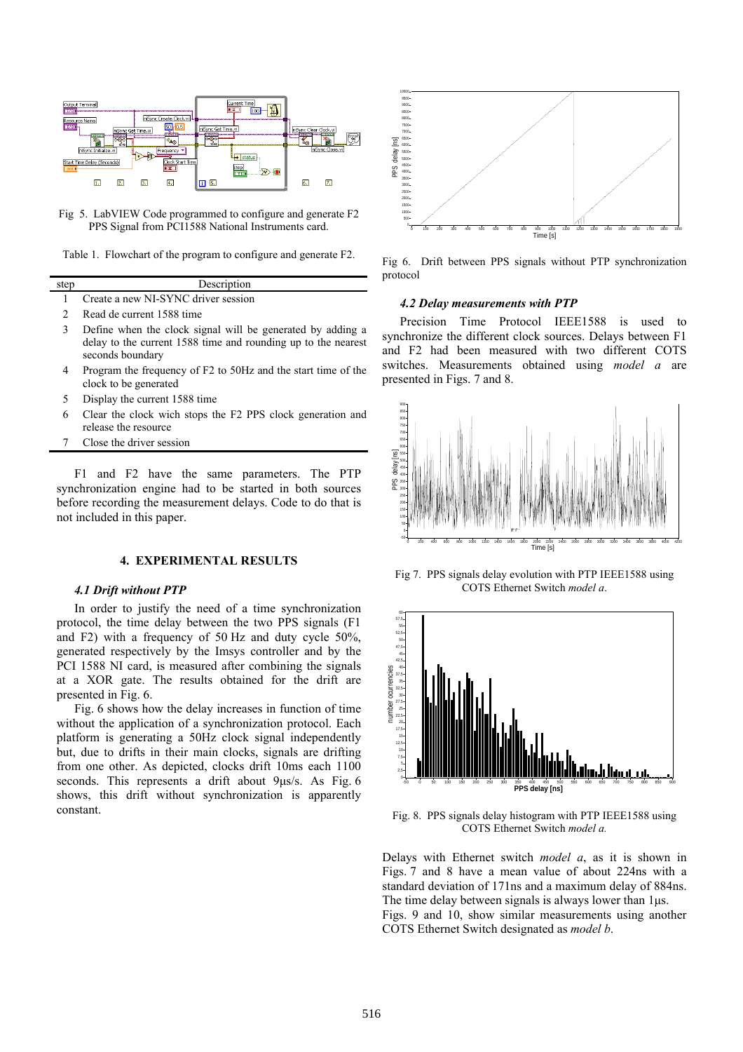

Fig 5. LabVIEW Code programmed to configure and generate F2 PPS Signal from PCI1588 National Instruments card.

|  | Table 1. Flowchart of the program to configure and generate F2. |  |
|--|-----------------------------------------------------------------|--|
|  |                                                                 |  |

| step | Description                           |
|------|---------------------------------------|
|      | 1 Create a new NI-SYNC driver session |
|      | Read de current 1588 time             |

- 3 Define when the clock signal will be generated by adding a delay to the current 1588 time and rounding up to the nearest seconds boundary
- 4 Program the frequency of F2 to 50Hz and the start time of the clock to be generated
- 5 Display the current 1588 time
- 6 Clear the clock wich stops the F2 PPS clock generation and release the resource
- 7 Close the driver session

F1 and F2 have the same parameters. The PTP synchronization engine had to be started in both sources before recording the measurement delays. Code to do that is not included in this paper.

#### **4. EXPERIMENTAL RESULTS**

#### *4.1 Drift without PTP*

In order to justify the need of a time synchronization protocol, the time delay between the two PPS signals (F1 and F2) with a frequency of 50 Hz and duty cycle 50%, generated respectively by the Imsys controller and by the PCI 1588 NI card, is measured after combining the signals at a XOR gate. The results obtained for the drift are presented in Fig. 6.

Fig. 6 shows how the delay increases in function of time without the application of a synchronization protocol. Each platform is generating a 50Hz clock signal independently but, due to drifts in their main clocks, signals are drifting from one other. As depicted, clocks drift 10ms each 1100 seconds. This represents a drift about 9µs/s. As Fig. 6 shows, this drift without synchronization is apparently constant.



Fig 6. Drift between PPS signals without PTP synchronization protocol

#### *4.2 Delay measurements with PTP*

Precision Time Protocol IEEE1588 is used to synchronize the different clock sources. Delays between F1 and F2 had been measured with two different COTS switches. Measurements obtained using *model a* are presented in Figs. 7 and 8.



Fig 7. PPS signals delay evolution with PTP IEEE1588 using COTS Ethernet Switch *model a*.



Fig. 8. PPS signals delay histogram with PTP IEEE1588 using COTS Ethernet Switch *model a.*

Delays with Ethernet switch *model a*, as it is shown in Figs. 7 and 8 have a mean value of about 224ns with a standard deviation of 171ns and a maximum delay of 884ns. The time delay between signals is always lower than  $1\mu s$ . Figs. 9 and 10, show similar measurements using another COTS Ethernet Switch designated as *model b*.